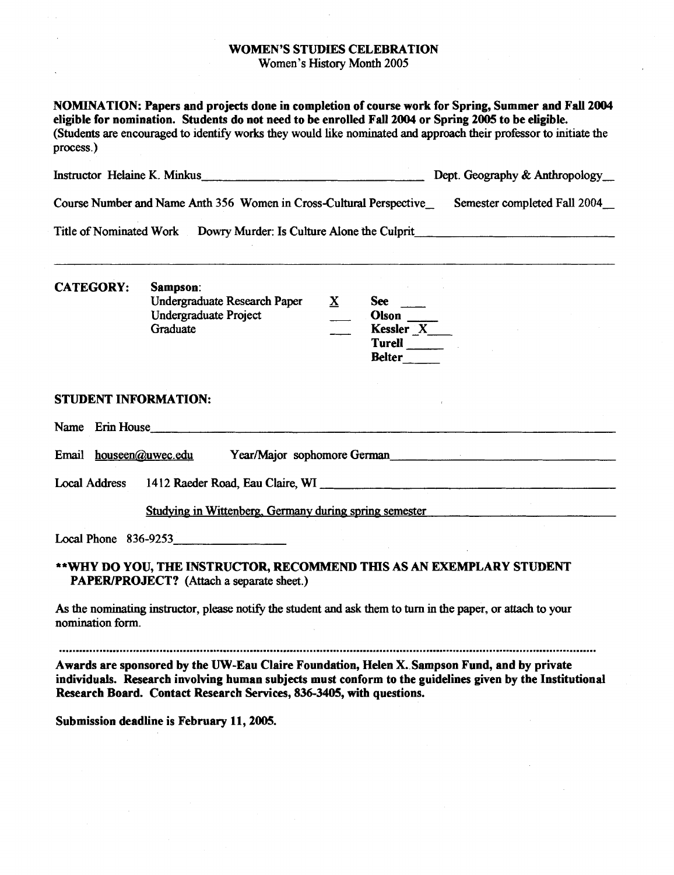## WOMEN'S STUDIES CELEBRATION

Women's History Month **2005** 

| NOMINATION: Papers and projects done in completion of course work for Spring, Summer and Fall 2004<br>eligible for nomination. Students do not need to be enrolled Fall 2004 or Spring 2005 to be eligible.<br>(Students are encouraged to identify works they would like nominated and approach their professor to initiate the<br>process.) |                                                                                                                                                                                                                                                                                 |                                |
|-----------------------------------------------------------------------------------------------------------------------------------------------------------------------------------------------------------------------------------------------------------------------------------------------------------------------------------------------|---------------------------------------------------------------------------------------------------------------------------------------------------------------------------------------------------------------------------------------------------------------------------------|--------------------------------|
|                                                                                                                                                                                                                                                                                                                                               | Instructor Helaine K. Minkus                                                                                                                                                                                                                                                    | Dept. Geography & Anthropology |
| Course Number and Name Anth 356 Women in Cross-Cultural Perspective<br>Semester completed Fall 2004                                                                                                                                                                                                                                           |                                                                                                                                                                                                                                                                                 |                                |
| <b>Title of Nominated Work</b>                                                                                                                                                                                                                                                                                                                | Dowry Murder: Is Culture Alone the Culprit                                                                                                                                                                                                                                      |                                |
| <b>CATEGORY:</b>                                                                                                                                                                                                                                                                                                                              | Sampson:<br>Undergraduate Research Paper<br>$\mathbf{X}$<br>$See \quad \qquad$<br><b>Undergraduate Project</b><br>Olson<br>Kessler <sub>_X_</sub> ___<br>Graduate<br><b>Belter</b>                                                                                              |                                |
| <b>STUDENT INFORMATION:</b>                                                                                                                                                                                                                                                                                                                   |                                                                                                                                                                                                                                                                                 |                                |
|                                                                                                                                                                                                                                                                                                                                               | Name Erin House<br>Email houseen@uwec.edu Year/Major sophomore German ______________________________                                                                                                                                                                            |                                |
|                                                                                                                                                                                                                                                                                                                                               |                                                                                                                                                                                                                                                                                 |                                |
|                                                                                                                                                                                                                                                                                                                                               | Studying in Wittenberg, Germany during spring semester                                                                                                                                                                                                                          |                                |
|                                                                                                                                                                                                                                                                                                                                               | Local Phone 836-9253                                                                                                                                                                                                                                                            |                                |
|                                                                                                                                                                                                                                                                                                                                               | **WHY DO YOU, THE INSTRUCTOR, RECOMMEND THIS AS AN EXEMPLARY STUDENT<br>PAPER/PROJECT? (Attach a separate sheet.)                                                                                                                                                               |                                |
| nomination form.                                                                                                                                                                                                                                                                                                                              | As the nominating instructor, please notify the student and ask them to turn in the paper, or attach to your                                                                                                                                                                    |                                |
|                                                                                                                                                                                                                                                                                                                                               | Awards are sponsored by the UW-Eau Claire Foundation, Helen X. Sampson Fund, and by private<br>individuals. Research involving human subjects must conform to the guidelines given by the Institutional<br>Research Board. Contact Research Services, 836-3405, with questions. |                                |

 $\bar{\mathcal{A}}$ 

Submission deadline is February 11, 2005.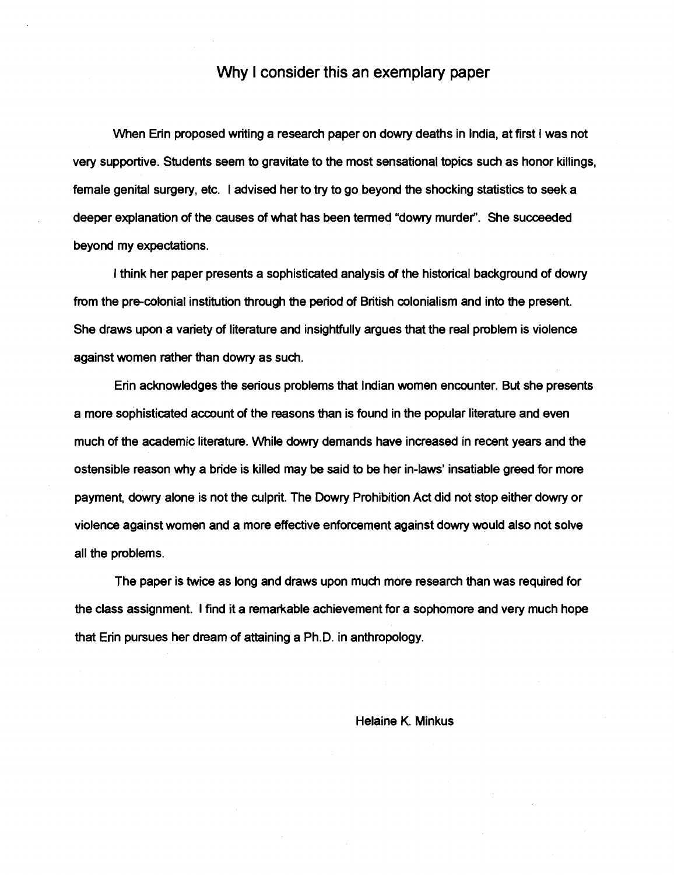# Why I consider this an exemplary paper

When Erin proposed writing a research paper on dowry deaths in India, at first I was not very supportive. Students seem to gravitate to the most sensational topics such as honor killings, female genital surgery, etc. I advised her to try to go beyond the shocking statistics to seek a deeper explanation **of** the causes **of** what has been termed "dowry murder". She succeeded beyond my expectations.

I think her paper presents a sophisticated analysis of the historical background of dowry from the pre-colonial institution through the period **of** British colonialism and into the present. She draws upon a variety of literature and insightfully argues that the real problem is violence against women rather than dowry as such.

Erin acknowledges the serious problems that Indian women encounter. But she presents a more sophisticated account of the reasons than is found in the popular literature and even much of the academic literature. While dowry demands have increased in recent years and the ostensible reason why a bride is killed may be said to be her in-laws' insatiable greed for more payment, dowry alone is not the culprit. The Dowry Prohibition Act did not stop either dowry or violence against women and a more effective enforcement against dowry would also not solve all the problems.

The paper is twice as long and draws upon much more research than was required for the class assignment. I find it a remarkable achievement for a sophomore and very much hope that Erin pursues her dream of attaining a Ph.D. in anthropology.

#### Helaine K. Minkus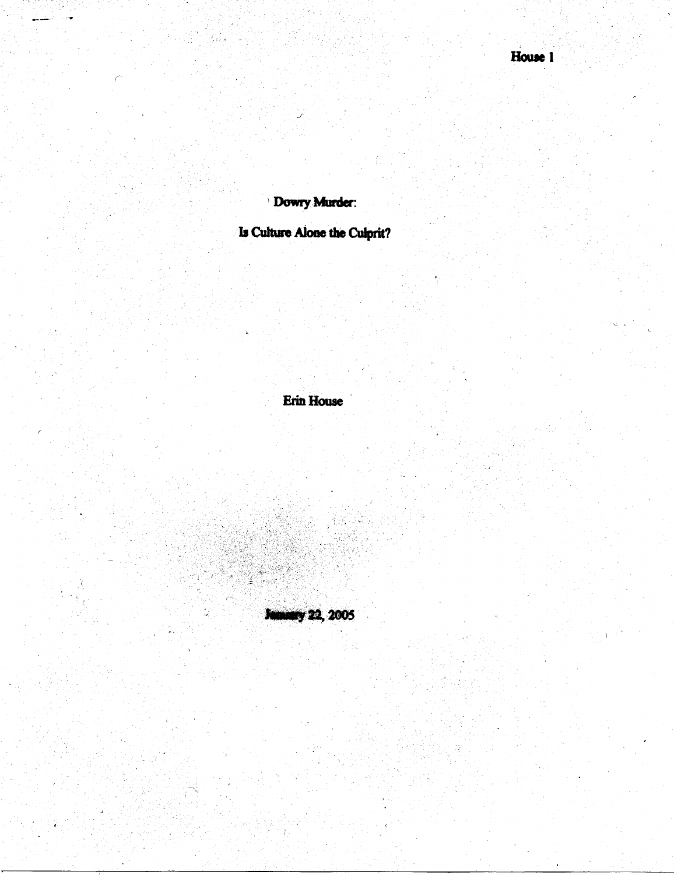Dowry Murder:

is.<br>Sala

Is Culture Alone the Culprit?

**Erin House** 

**January 22, 2005** 

stiri<br>Ger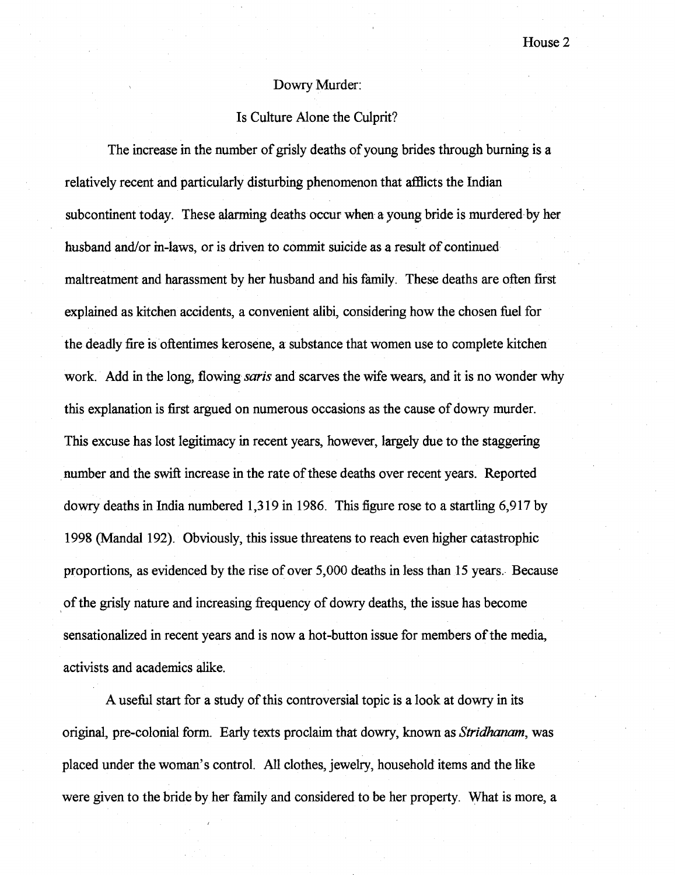## Dowry Murder:

# Is Culture Alone the Culprit?

The increase in the number of grisly deaths of young brides through burning is a relatively recent and particularly disturbing phenomenon that afflicts the Indian subcontinent today. These alarming deaths occur when a young bride is murdered by her husband and/or in-laws, or is driven to commit suicide as a result of continued maltreatment and harassment by her husband and his family. These deaths are often first explained as kitchen accidents, a convenient alibi, considering how the chosen fuel for the deadly fire is oftentimes kerosene, a substance that women use to complete kitchen work. Add in the long, flowing *saris* and scarves the wife wears, and it is no wonder why this explanation is first argued on numerous occasions as the cause of dowry murder. This excuse has lost legitimacy **in** recent years, however, largely due to the staggering number and the swift increase in the rate of these deaths over recent years. Reported dowry deaths in India numbered 1,3 19 in 1986. This figure rose to a startling 6,917 by 1998 (Mandal 192). Obviously, this issue threatens to reach even higher catastrophic proportions, as evidenced by the rise of over 5,000 deaths in less than 15 years. Because of the grisly nature and increasing frequency of dowry deaths, the issue has become sensationalized in recent years and is now a hot-button issue for members of the media, activists and academics alike.

**A** usefbl start for a study of this controversial topic is a look at dowry in its original, pre-colonial form. Early texts proclaim that dowry, known as *Stridhmam,* was placed under the woman's control. **AU** clothes, jewelry, household items and the like were given to the bride by her family and considered to be her property. What is more, a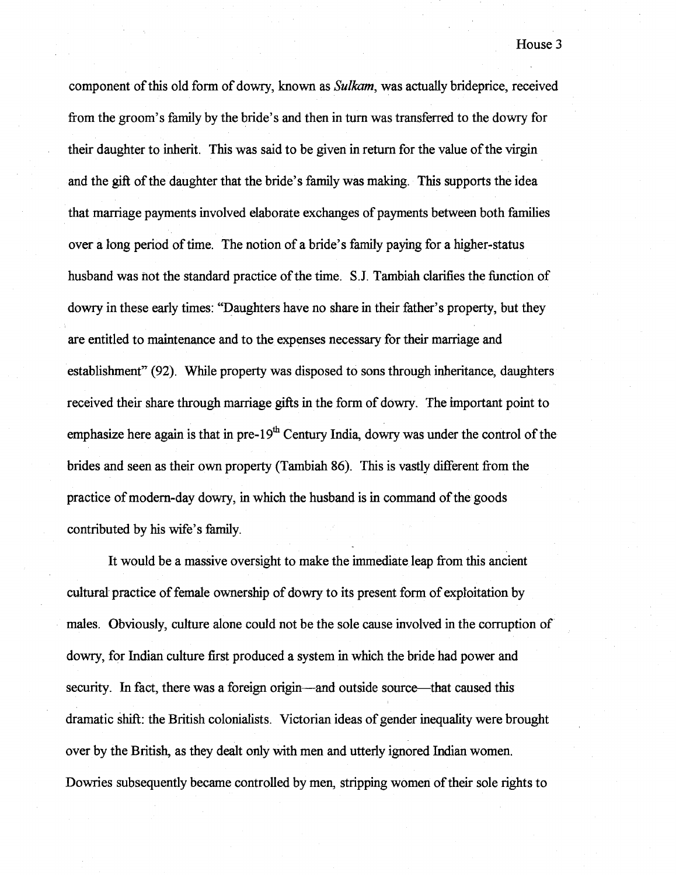component of this old form of dowry, known as *Sulkam,* was actually brideprice, received fiom the groom's family by the bride's and then in turn was transferred to the dowry for their daughter to inherit. This was said to be given in return for the value of the virgin and the gift of the daughter that the bride's family was making. This supports the idea that marriage payments involved elaborate exchanges of payments between both families over a long period of time. The notion of a bride's family paying for a higher-status husband was not the standard practice of the time. S.J. Tambiah clarifies the function of dowry in these early times: "Daughters have no share in their father's property, but they are entitled to maintenance and to the expenses necessary for their marriage and establishment" (92). While property was disposed to sons through inheritance, daughters received their share through marriage gifts in the form of dowry. The important point to emphasize here again is that in pre- $19<sup>th</sup>$  Century India, dowry was under the control of the brides and seen as their own property (Tambiah 86). This is vastly different fiom the practice of modern-day dowry, in which the husband is in command of the goods contributed by his wife's family.

It would be a massive oversight to make the immediate leap fiom this ancient cultural practice of female ownership of dowry to its present form of exploitation by males. Obviously, culture alone codd not be the sole cause involved in the corruption of dowry, for Indian culture fist produced a system in which the bride had power and security. In fact, there was a foreign origin—and outside source—that caused this dramatic shift: the British colonialists. Victorian ideas of gender inequality were brought over by the British, as they dealt only with men and utterly ignored Indian women. Dowries subsequently became controlled by men, stripping women of their sole rights to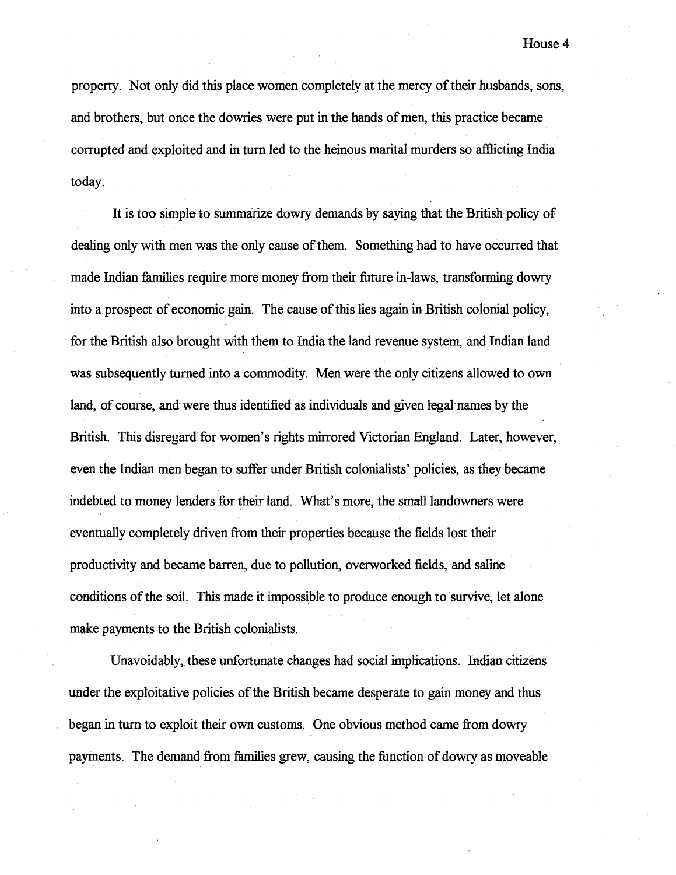property. Not only did this place women completely at the mercy of their husbands, sons, and brothers, but once the dowries were put in the hands of men, this practice becme corrupted and exploited and in turn led to the heinous marital murders so afflicting India today.

It is too simple to summarize dowry demands by saying that the British policy of dealing only with men was the only cause of them. Something had to have occurred that made Indian families require more money from their future in-laws, transforming dowry into a prospect of economic gain. The cause of this lies again in British colonial policy, for the British also brought with them to India the land revenue system, and Indian land was subsequently turned into a commodity. Men were the only citizens allowed to own land, of course, and were thus identified as individuals and given kegal names by the British. This disregard for women's rights mirrored Victorian England. Later, however, even the Indian men began to suffer under British colonialists' policies, as they became indebted to money lenders for their land. What's more, the small landowners were eventually completely driven fiom their properties because the fields lost their productivity and became barren, due to pollution, overworked fields, and saline conditions of the soil. This made it impossible to produce enough to survive, let alone make payments to the British colonialists.

Unavoidably, these unfortunate ehanges had social impfications. Indian citizens under the exploitative policies of the British became desperate to gain money and thus began in turn to exploit their own customs. One obvious method came fiom dowry payments. The demand fiom families grew, causing the function of dowry as moveable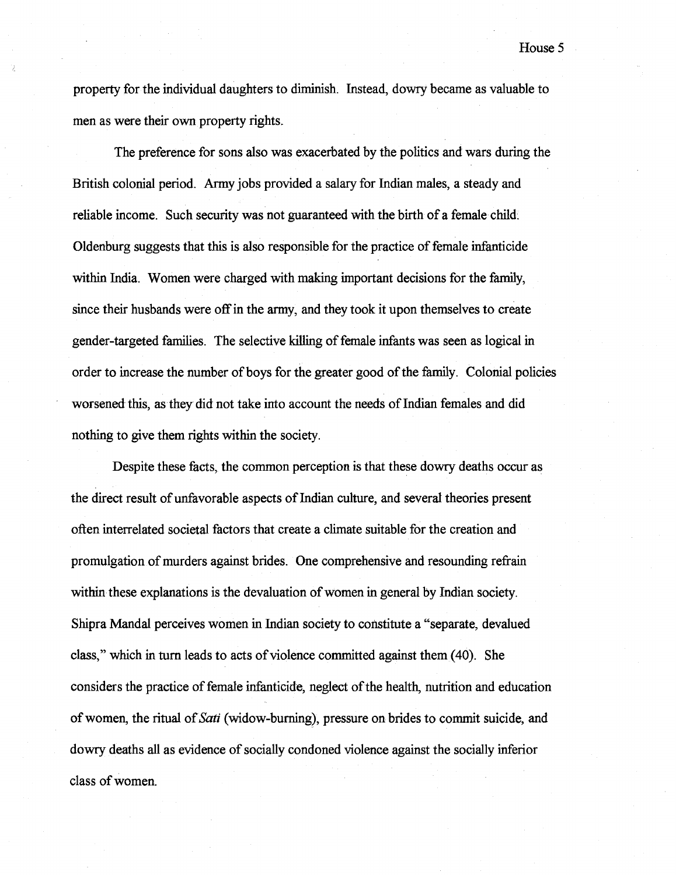The preference for sons also was exacerbated by the politics and wars during the British colonial period. Army jobs provided a salary for Indian males, a steady and reliable income. Such security was not guaranteed with the birth of a female child. Oldenburg suggests that this is also responsible for the practice of female infanticide within India. Women were charged with making important decisions for the family, since their husbands were off in the army, and they took it upon themselves to create gender-targeted families. The selective killing of female infants was seen as logical in order to increase the number of boys for the greater good of the family. Colonial policies worsened this, as they did not take into account the needs of Indian females and did nothing to give them rights within the society.

Despite these facts, the common perception is that these dowry deaths occur as the direct result of unfavorable aspects of Indian culture, and several theories present often interrelated societal factors that create a climate suitable for the creation and promulgation of murders against brides. One comprehensive and resounding refrain within these explanations is the devaluation of women in general by Indian society. Shipra Mandal perceives women in Indian society to constitute a "separate, devalued class," which in turn leads to acts of violence committed against them (40). She considers the practice of female infanticide, neglect of the health, nutrition and education of women, the ritual of *Sari* (widow-burning), pressure on brides to commit suicide, and dowry deaths all as evidence of socially condoned violence against the socially inferior class of women.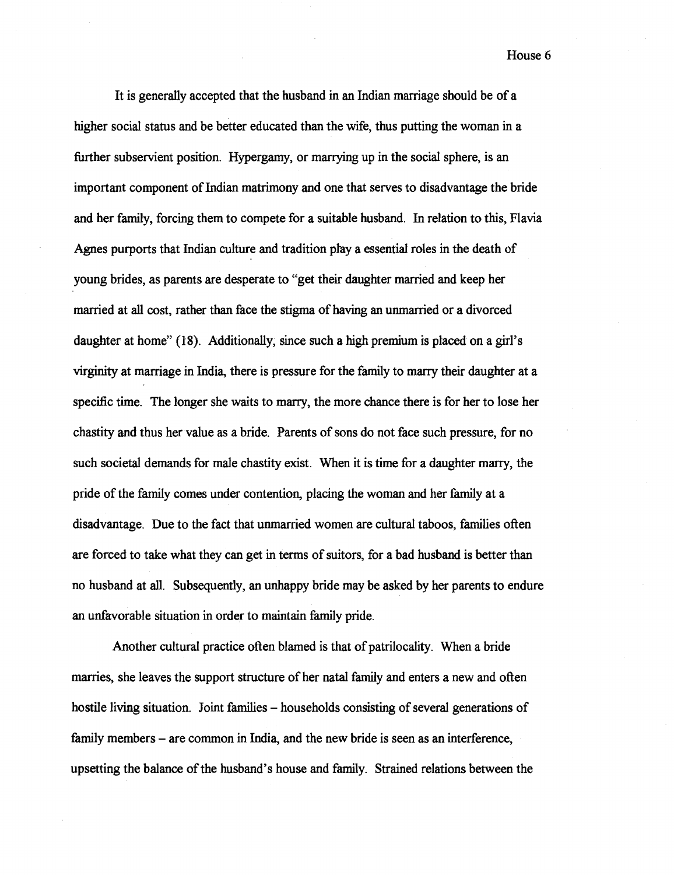It is generally accepted that the husband in an Indian marriage should be of a higher social status and be better educated than the wife, thus putting the woman in a further subservient position. Hypergamy, or marrying up in the social sphere, is an important component of Indian matrimony and one that serves to disadvantage the bride and her family, forcing them to compete for a suitable husband. In relation to this, Flavia Agnes purports that Indian culture and tradition play a essential roles in the death of young brides, as parents are desperate to "get their daughter married and keep her married at all cost, rather than face the stigma of having an unmarried or a divorced daughter at home" (18). Additionally, since such a high premium is placed on a girl's virginity at marriage in India, there is pressure for the family to marry their daughter at a specific time. The longer she waits to marry, the more chance there is for her to lose her chastity and thus her value as a bride. Parents of sons do not face such pressure, for no such societal demands for male chastity exist. When it is time for a daughter marry, the pride of the family comes under contention, placing the woman and her family at a disadvantage. Due to the fact that unmarried women are cultural taboos, families often are forced to take what they can get in terms of suitors, for a bad husband is better than no husband at all. Subsequently, an unhappy bride may be asked by her parents to endure an unfavorable situation in order to maintain family pride.

Another cultural practice often blamed is that of patrilocality. When a bride marries, she leaves the support structure of her natal family and enters a new and often hostile living situation. Joint families – households consisting of several generations of family members – are common in India, and the new bride is seen as an interference, upsetting the balance of the husband's house and family. Strained relations between the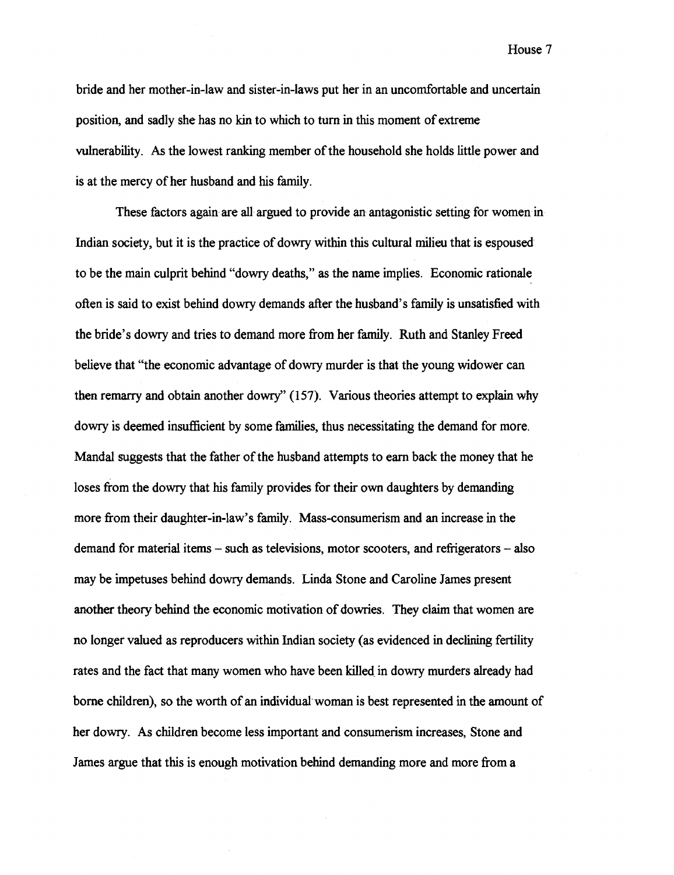bride and her mother-in-law and sister-in-laws put her in an uncomfortable and uncertain position, and sadly she has no **kin** to which to turn in this moment of extreme vulnerability. As the lowest ranking member of the household she holds little power and is at the mercy of her husband and his family.

These factors again are all argued to provide an antagonistic setting for women in Indian society, but it is the practice of dowry within this cultural milieu that is espoused to be the main culprit behind "dowry deaths," as the name implies. Economic rationale often is said to exist behind dowry demands after the husband's family is unsatisfied with the bride's dowry and tries to demand more from her family. Ruth and Stanley Freed believe that "the economic advantage of dowry murder is that the young widower can then remarry and obtain another dowry" (157). Various theories attempt to explain why dowry is deemed insufficient by some families, thus necessitating the demand for more. Mandal suggests that the father of the husband attempts to earn back the money that he loses fiom the dowry that his family provides for their own daughters by demanding more fiom their daughter-in-law's family. Mass-consumerism and an increase in the demand for material items  $-$  such as televisions, motor scooters, and refrigerators  $-$  also may be impetuses behind dowry demands. Linda Stone and Caroline James present another theory behind the economic motivation of dowries. They claim that women are no longer valued as reproducers within Indian society (as evidenced in declining fertility rates and the fact that many women who have been killed in dowry murders already had borne children), so the worth of an individual woman is best represented in the amount of her dowry. As children become less important and consumerism increases, Stone and James argue that this is enough motivation behind demanding more and more from a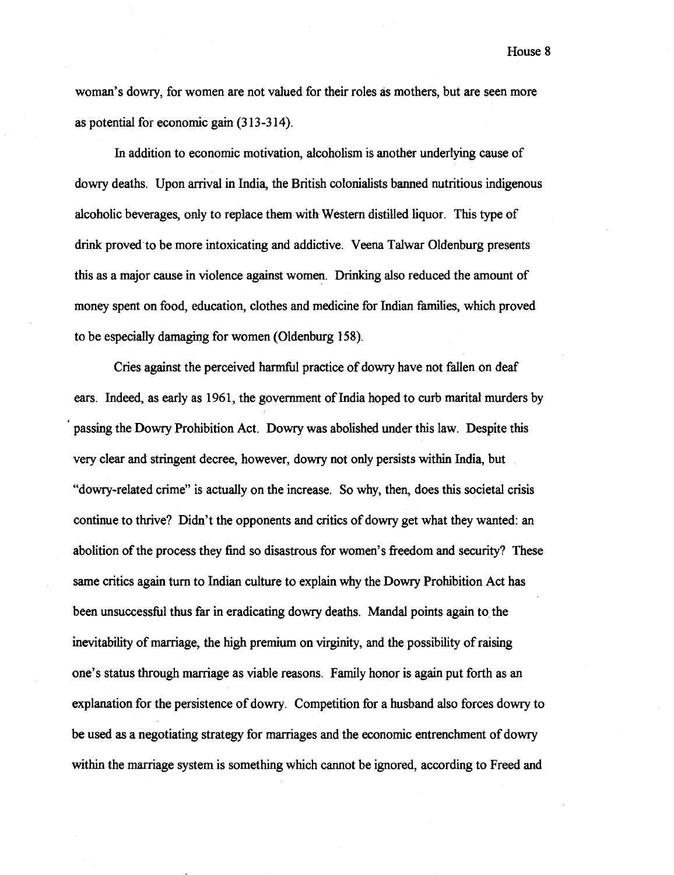woman's dowry, for women are not valued for their roles as mothers, but are seen more as potential for economic gain (313-314).

In addition to economic motivation, alcoholism is another underlying cause of dowry deaths. Upon arrival in India, the British colonialists banned nutritious indigenous alcoholic beverages, only to replace them with Western distilled liquor. This type of drink proved to be more intoxicating and addictive. **Veena** Talwar Oldenburg presents this as a major cause in violence against women. Drinking also reduced the amount of money spent on food, education, clothes and medicine for Indian families, which proved to be especially damaging for women (Oldenburg 158).

Cries against the perceived harmful practice of dowry have not fallen on deaf ears. Indeed, as early as 1961, the government of India hoped to curb marital murders by passing the Dowry Prohibition Act. Dowry was abolished under this law. Despite this very clear and stringent decree, however, dowry not only persists within India, but "dowry-related crime" is actually on the increase. So why, then, does this societal crisis continue to thrive? Didn't the opponents and critics of dowry get what they wanted: an abolition of the process they find so disastrous for women's freedom and security? These same critics again turn to Indian culture to explain why the Dowry Prohibition Act has been unsuccessful thus far in eradicating dowry deaths. Mandal points again to the inevitability of marriage, the high premium on virginity, and the possibility of raising one's status through marriage as viable reasons. Family honor is again put forth as an explanation for the persistence of dowry. Competition for a husband also forces dowry to be used as a negotiating strategy for marriages and the economic entrenchment of dowry within the marriage system is something which cannot be ignored, according to Freed and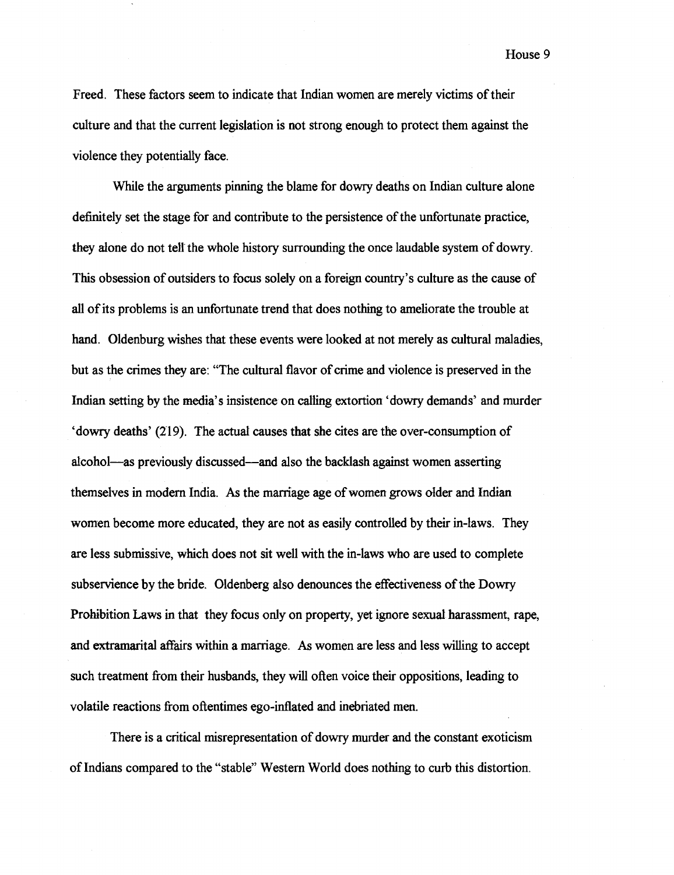Freed. These factors seem to indicate that Indian women are merely victims of their culture and that the current legislation is not strong enough to protect them against the violence they potentially face.

While the arguments pinning the blame for dowry deaths on Indian culture alone definitely set the stage for and contribute to the persistence of the unfortunate practice, they done do not tell the whole history surrounding the once laudable system of dowry. This obsession of outsiders to focus solely on a foreign country's culture as the cause of **all** of its problems is an unfortunate trend that does nothing to ameliorate the trouble at hand. Oldenburg wishes that these events were looked at not merely as cultural maladies, but as the crimes they are: "The cultural flavor of crime and violence is preserved in the Indian setting by the media's insistence on calling extortion 'dowry demands' and murder 'dowry deaths' (219). The actual causes that she cites are the over-consumption of alcohol-as previously discussed-and also the backlash against women asserting themselves in modern India. As the marriage age of women grows older and Indian women become more educated, they are not as easily controlled by their in-laws. They are less submissive, which does not sit well with the in-laws who are used to complete subservience by the bride. Oldenberg also denounces the effectiveness of the Dowry Prohibition Laws in that they focus only on property, yet ignore sexual harassment, rape, and extramarital affairs within a marriage. As women are less and less willing to accept such treatment from their husbands, they will often voice their oppositions, leading to volatile reactions from oftentimes ego-inflated and inebriated men.

There is a critical misrepresentation of dowry murder and the constant exoticism of Indians compared to the "stable" Western World does nothing to curb this distortion.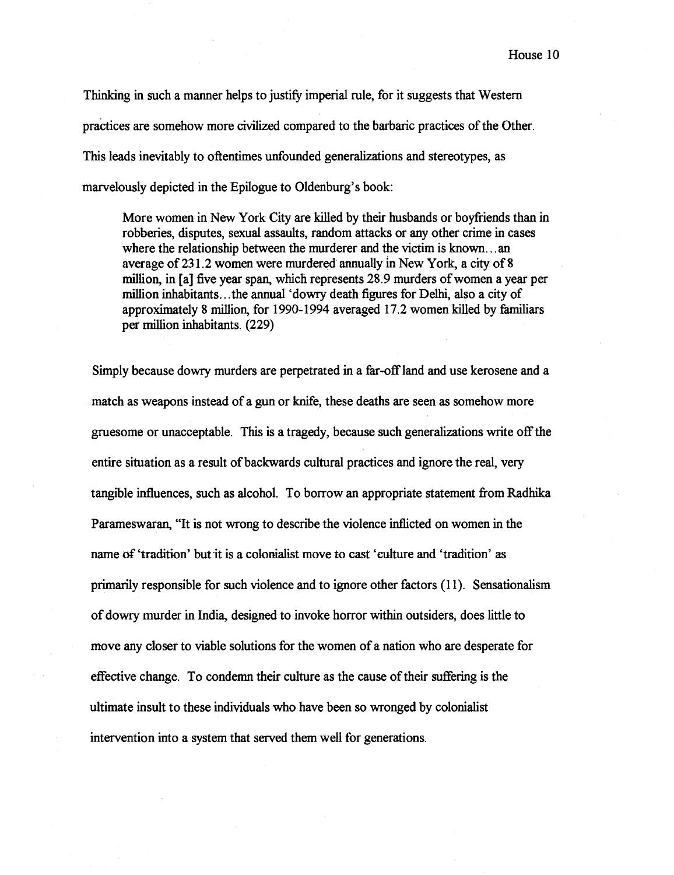Thinking in such a manner helps to justify imperial rule, for it suggests that Western practices are somehow more civilized compared to the barbaric practices of the Other. This leads inevitably to oftentimes unfounded generalizations and stereotypes, as marvelously depicted in the Epilogue to Oldenburg's book:

More women in New York City are killed by their husbands or boyfriends than in robberies, disputes, sexual assaults, random attacks or any other crime in cases where the relationship between the murderer and the victim is known.. . an average of **23 1.2** women were murdered annually in New York, a city of **8**  million, in [a] five year span, which represents **28.9** murders of women a year per million inhabitants.. .the annual 'dowry death figures for Deihi, also a city of approximately **8** million, for **1990- 1994** averaged **1 7.2** women killed by familiars per million inhabitants. **(229)** 

Simply because dowry murders are perpetrated in a far-off land and use kerosene and a match as weapons instead of a gun or knife, these deaths are seen as somehow more gruesome or unacceptable. This is a tragedy, because such generalizations write off the entire situation as a result of backwards cultural practices and ignore the real, very tangible influences, such as alcohol. To borrow an appropriate statement from Radhika Parameswaran, "It is not wrong to describe the violence inflicted on women in the name of 'tradition' but it is a colonialist move to cast 'culture and 'tradition' as primarily responsible for such violence and to ignore other factors **(1 1).** Sensationalism of dowry murder in India, designed to invoke horror within outsiders, does little to move any closer to viable solutions for the women of a nation who are desperate for effective change. To condemn their culture as the cause of their suffering is the ultimate insult to these individuals who have been so wronged by colonialist intervention into a system that served them well for generations.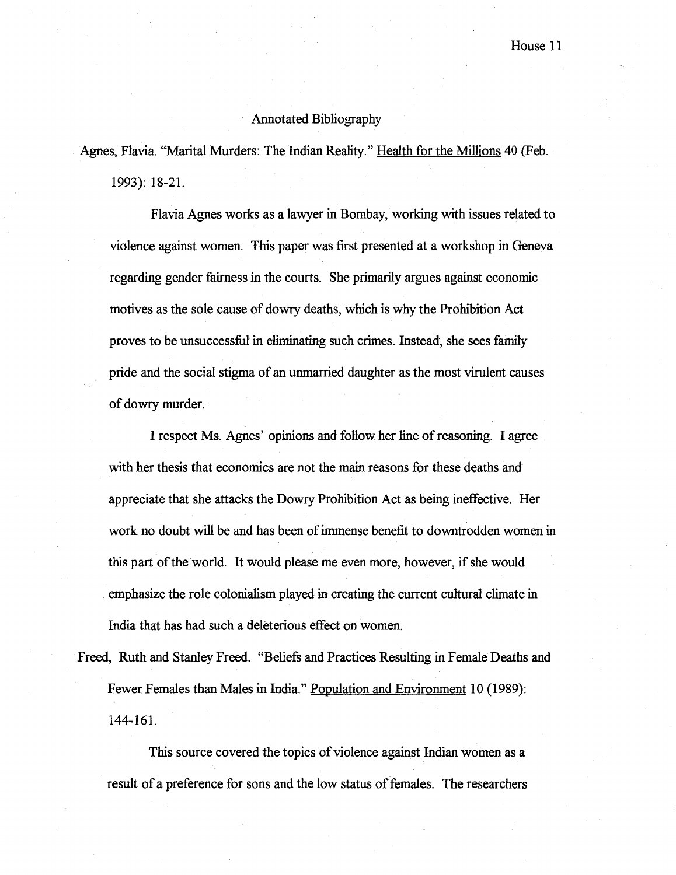#### Annotated Bibliography

Agnes, Flavia. "Marital Murders: The Indian Reality." Health for the Millions 40 (Feb. **1993): 18-21.** 

Flavia Agnes works as a lawyer in Bombay, working with issues related to violence against women. This paper was first presented at a workshop in Geneva regarding gender fairness in the courts. She primarily argues against economic motives as the sole cause of dowry deaths, which is why the Prohibition Act proves to be unsuccessful in eliminating such crimes. Instead, she sees family pride and the social stigma of an unmarried daughter as the most virulent causes of dowry murder.

I respect Ms. Agnes' opinions and follow her line of reasoning. I agree with her thesis that economics are not the main reasons for these deaths and appreciate that she attacks the Dowry Prohibition Act as being ineffective. Her work no doubt will be and has been of immense benefit to downtrodden women in this part of the world. It would please me even more, however, if she would emphasize the role colonialism played in creating the current cultural climate in India that has had such a deleterious effect on women.

Freed, Ruth and Stanley Freed. "Beliefs and Practices Resulting in Female Deaths and Fewer Females than Males in India." Population and Environment 10 (1989): **144-161.** 

This source covered the topics of violence against Indian women as a result of a preference for sons and the low status of females. The researchers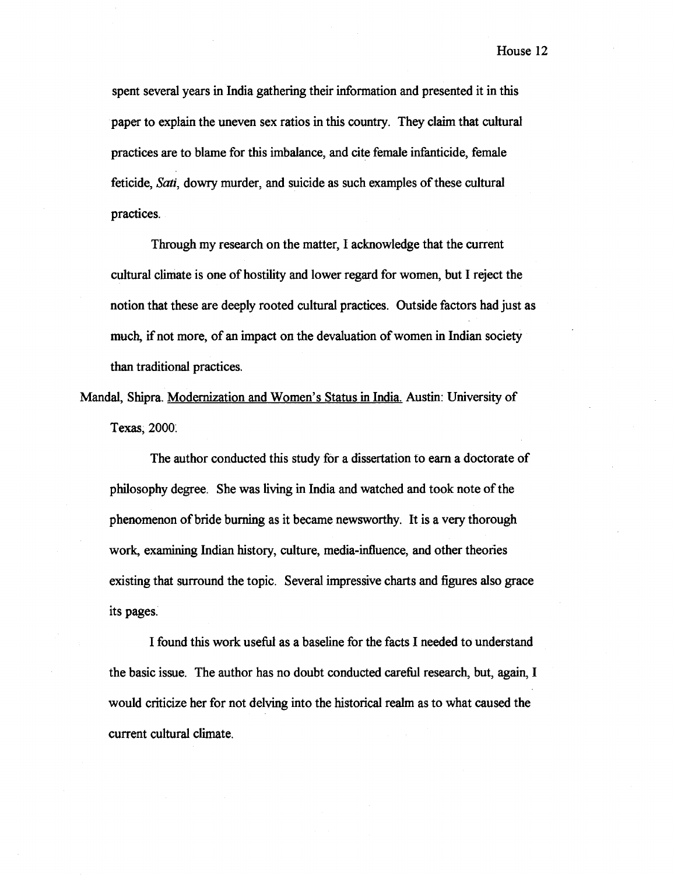spent several years in India gathering their information and presented it in this paper to explain the uneven sex ratios in this country. They claim that cultural practices are to blame for this imbalance, and cite female infanticide, female feticide, **Sati,** dowry murder, and suicide as such examples of these cultural practices.

Through my research on the matter, I acknowledge that the current cultural climate is one of hostility and lower regard for women, but I reject the notion that these are deeply rooted cultural practices. Outside factors had just as much, if not more, of an impact on the devaluation of women in Indian society than traditional practices.

Mandal, Shipra. Modernization and Women's Status in India. Austin: University of Texas, 2000.

The author conducted this study for a dissertation to earn a doctorate of philosophy degree. She was living in India and watched and took note of the phenomenon of bride burning as it became newsworthy. It is a very thorough work, examining Indian history, culture, media-influence, and other theories existing that surround the topic. Several impressive charts and figures also grace its pages.

I found this work usefid as a baseline for the facts I needed to understand the basic issue. The author has no doubt conducted careful research, but, again, I would criticize her for not delving into the historical realm as to what caused the current cultural climate.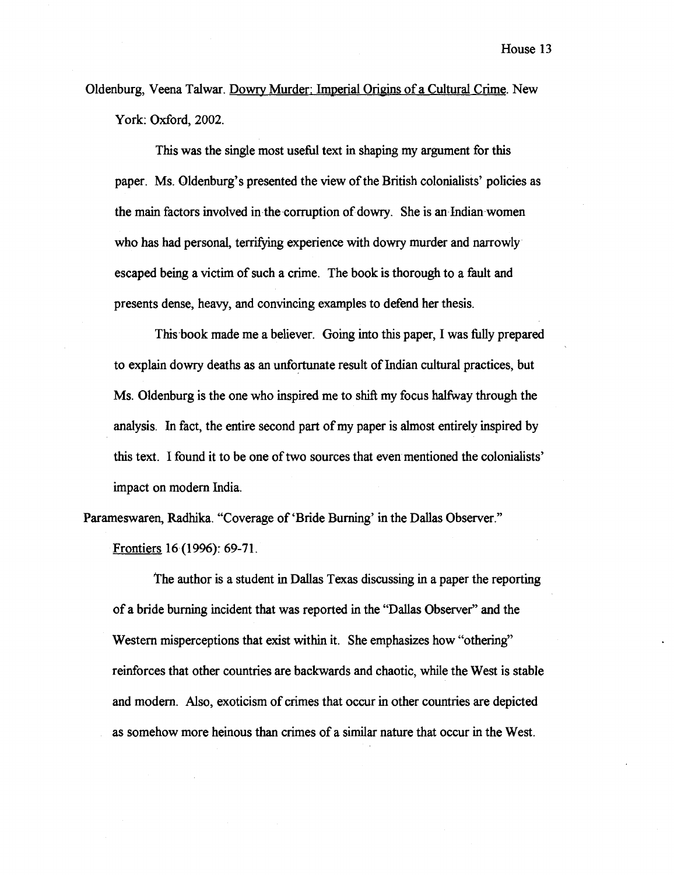Oldenburg, Veena Talwar. Dowry Murder: Imperial Origins of a Cultural Crime. New York: Oxford, **2002.** 

This was the single most useful text in shaping my argument for this paper. Ms. Oldenburg's presented the view of the British colonialists' policies as the main factors involved in the corruption of dowry. She is an Indian women who has had personal, terrifying experience with dowry murder and narrowly escaped being a victim of such a crime. The book is thorough to a fault and presents dense, heavy, and convincing examples to defend her thesis.

This book made me a believer. Going into this paper, I was fully prepared to explain dowry deaths as an unfortunate result of Indian cultural practices, but Ms. Oldenburg is the one who inspired me to shiR my focus halfway through the analysis. In fact, the entire second part of my paper is almost entirely inspired by this text. I found it to be one of two sources that even mentioned the colonialists' impact on modern India.

Parameswaren, Radhika. "Coverage of 'Bride Burning' in the Dallas Observer." Frontiers **16** (19%): **69-7 1.** 

The author is a student in Dallas Texas discussing in a paper the reporting of a bride burning incident that was reported in the "Dallas Observer" and the Western misperceptions that exist within it. She emphasizes how "othering" reinforces that other countries are backwards and chaotic, while the West is stable and modem. Also, exoticism of crimes that occur in other countries are depicted as somehow more heinous than crimes of a similar nature that occur in the West.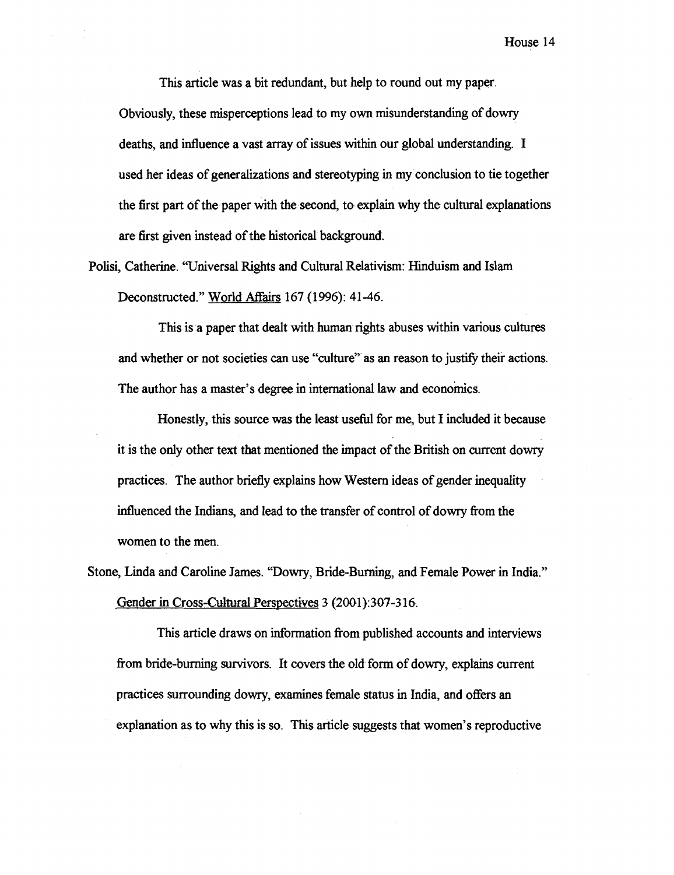This article was a bit redundant, but help to round out my paper. Obviously, these misperceptions lead to my own misunderstanding of dowry deaths, and influence a vast array of issues within our global understanding. I used her ideas of generalizations and stereotyping in my conclusion to tie together the first part of the paper with the second, to explain why the cultural explanations are first given instead of the historical background.

Polisi, Catherine. "Universal Rights and Cultural Relativism: Hinduism and Islam Deconstructed." World Affairs 167 (1996): 41-46.

This is a paper that dealt with human rights abuses within various cultures and whether or not societies can use "culture" as an reason to justify their actions. The author has a master's degree in international law and economics.

Honestly, this source was the least useful for me, but I included it because it is the only other text that mentioned the impact of the British on current dowry practices. The author briefly explains how Western ideas of gender inequality influenced the Indians, and lead to the transfer of control of dowry from the women to the men.

Stone, Linda and Caroline James. "Dowry, Bride-Burning, and Female Power in India." **Gender** in Cross-Cultwal Perspectives 3 (2001):307-316.

This article draws on information fiom published accounts and interviews fiom bride-burning survivors. It covers the old form of dowry, explains current practices surrounding dowry, examines female status in India, and offers an explanation as to why this is so. This article suggests that women's reproductive